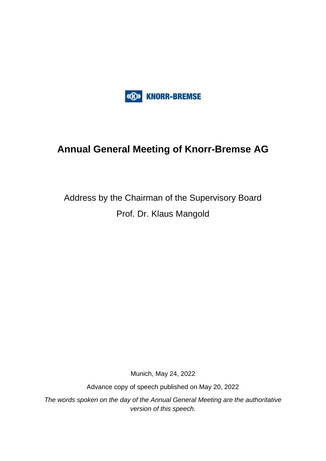

# **Annual General Meeting of Knorr-Bremse AG**

# Address by the Chairman of the Supervisory Board Prof. Dr. Klaus Mangold

Munich, May 24, 2022

Advance copy of speech published on May 20, 2022

*The words spoken on the day of the Annual General Meeting are the authoritative version of this speech.*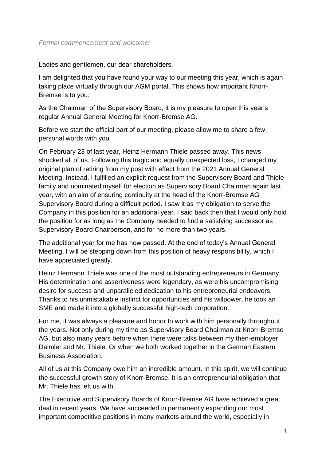#### *Formal commencement and welcome:*

Ladies and gentlemen, our dear shareholders,

I am delighted that you have found your way to our meeting this year, which is again taking place virtually through our AGM portal. This shows how important Knorr-Bremse is to you.

As the Chairman of the Supervisory Board, it is my pleasure to open this year's regular Annual General Meeting for Knorr-Bremse AG.

Before we start the official part of our meeting, please allow me to share a few, personal words with you.

On February 23 of last year, Heinz Hermann Thiele passed away. This news shocked all of us. Following this tragic and equally unexpected loss, I changed my original plan of retiring from my post with effect from the 2021 Annual General Meeting. Instead, I fulfilled an explicit request from the Supervisory Board and Thiele family and nominated myself for election as Supervisory Board Chairman again last year, with an aim of ensuring continuity at the head of the Knorr-Bremse AG Supervisory Board during a difficult period. I saw it as my obligation to serve the Company in this position for an additional year. I said back then that I would only hold the position for as long as the Company needed to find a satisfying successor as Supervisory Board Chairperson, and for no more than two years.

The additional year for me has now passed. At the end of today's Annual General Meeting, I will be stepping down from this position of heavy responsibility, which I have appreciated greatly.

Heinz Hermann Thiele was one of the most outstanding entrepreneurs in Germany. His determination and assertiveness were legendary, as were his uncompromising desire for success and unparalleled dedication to his entrepreneurial endeavors. Thanks to his unmistakable instinct for opportunities and his willpower, he took an SME and made it into a globally successful high-tech corporation.

For me, it was always a pleasure and honor to work with him personally throughout the years. Not only during my time as Supervisory Board Chairman at Knorr-Bremse AG, but also many years before when there were talks between my then-employer Daimler and Mr. Thiele. Or when we both worked together in the German Eastern Business Association.

All of us at this Company owe him an incredible amount. In this spirit, we will continue the successful growth story of Knorr-Bremse. It is an entrepreneurial obligation that Mr. Thiele has left us with.

The Executive and Supervisory Boards of Knorr-Bremse AG have achieved a great deal in recent years. We have succeeded in permanently expanding our most important competitive positions in many markets around the world, especially in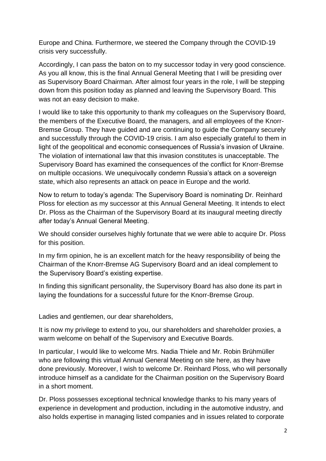Europe and China. Furthermore, we steered the Company through the COVID-19 crisis very successfully.

Accordingly, I can pass the baton on to my successor today in very good conscience. As you all know, this is the final Annual General Meeting that I will be presiding over as Supervisory Board Chairman. After almost four years in the role, I will be stepping down from this position today as planned and leaving the Supervisory Board. This was not an easy decision to make.

I would like to take this opportunity to thank my colleagues on the Supervisory Board, the members of the Executive Board, the managers, and all employees of the Knorr-Bremse Group. They have guided and are continuing to guide the Company securely and successfully through the COVID-19 crisis. I am also especially grateful to them in light of the geopolitical and economic consequences of Russia's invasion of Ukraine. The violation of international law that this invasion constitutes is unacceptable. The Supervisory Board has examined the consequences of the conflict for Knorr-Bremse on multiple occasions. We unequivocally condemn Russia's attack on a sovereign state, which also represents an attack on peace in Europe and the world.

Now to return to today's agenda: The Supervisory Board is nominating Dr. Reinhard Ploss for election as my successor at this Annual General Meeting. It intends to elect Dr. Ploss as the Chairman of the Supervisory Board at its inaugural meeting directly after today's Annual General Meeting.

We should consider ourselves highly fortunate that we were able to acquire Dr. Ploss for this position.

In my firm opinion, he is an excellent match for the heavy responsibility of being the Chairman of the Knorr-Bremse AG Supervisory Board and an ideal complement to the Supervisory Board's existing expertise.

In finding this significant personality, the Supervisory Board has also done its part in laying the foundations for a successful future for the Knorr-Bremse Group.

Ladies and gentlemen, our dear shareholders,

It is now my privilege to extend to you, our shareholders and shareholder proxies, a warm welcome on behalf of the Supervisory and Executive Boards.

In particular, I would like to welcome Mrs. Nadia Thiele and Mr. Robin Brühmüller who are following this virtual Annual General Meeting on site here, as they have done previously. Moreover, I wish to welcome Dr. Reinhard Ploss, who will personally introduce himself as a candidate for the Chairman position on the Supervisory Board in a short moment.

Dr. Ploss possesses exceptional technical knowledge thanks to his many years of experience in development and production, including in the automotive industry, and also holds expertise in managing listed companies and in issues related to corporate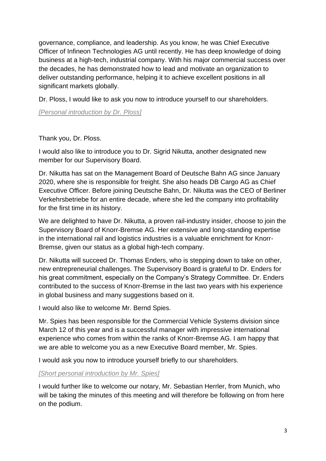governance, compliance, and leadership. As you know, he was Chief Executive Officer of Infineon Technologies AG until recently. He has deep knowledge of doing business at a high-tech, industrial company. With his major commercial success over the decades, he has demonstrated how to lead and motivate an organization to deliver outstanding performance, helping it to achieve excellent positions in all significant markets globally.

Dr. Ploss, I would like to ask you now to introduce yourself to our shareholders.

*[Personal introduction by Dr. Ploss]*

Thank you, Dr. Ploss.

I would also like to introduce you to Dr. Sigrid Nikutta, another designated new member for our Supervisory Board.

Dr. Nikutta has sat on the Management Board of Deutsche Bahn AG since January 2020, where she is responsible for freight. She also heads DB Cargo AG as Chief Executive Officer. Before joining Deutsche Bahn, Dr. Nikutta was the CEO of Berliner Verkehrsbetriebe for an entire decade, where she led the company into profitability for the first time in its history.

We are delighted to have Dr. Nikutta, a proven rail-industry insider, choose to join the Supervisory Board of Knorr-Bremse AG. Her extensive and long-standing expertise in the international rail and logistics industries is a valuable enrichment for Knorr-Bremse, given our status as a global high-tech company.

Dr. Nikutta will succeed Dr. Thomas Enders, who is stepping down to take on other, new entrepreneurial challenges. The Supervisory Board is grateful to Dr. Enders for his great commitment, especially on the Company's Strategy Committee. Dr. Enders contributed to the success of Knorr-Bremse in the last two years with his experience in global business and many suggestions based on it.

I would also like to welcome Mr. Bernd Spies.

Mr. Spies has been responsible for the Commercial Vehicle Systems division since March 12 of this year and is a successful manager with impressive international experience who comes from within the ranks of Knorr-Bremse AG. I am happy that we are able to welcome you as a new Executive Board member, Mr. Spies.

I would ask you now to introduce yourself briefly to our shareholders.

*[Short personal introduction by Mr. Spies]*

I would further like to welcome our notary, Mr. Sebastian Herrler, from Munich, who will be taking the minutes of this meeting and will therefore be following on from here on the podium.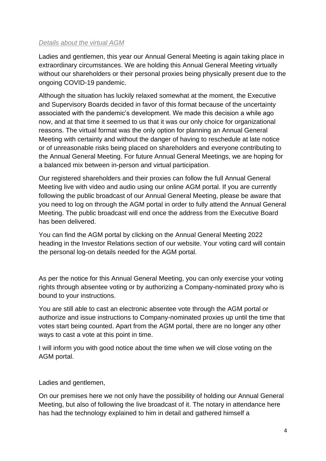#### *Details about the virtual AGM*

Ladies and gentlemen, this year our Annual General Meeting is again taking place in extraordinary circumstances. We are holding this Annual General Meeting virtually without our shareholders or their personal proxies being physically present due to the ongoing COVID-19 pandemic.

Although the situation has luckily relaxed somewhat at the moment, the Executive and Supervisory Boards decided in favor of this format because of the uncertainty associated with the pandemic's development. We made this decision a while ago now, and at that time it seemed to us that it was our only choice for organizational reasons. The virtual format was the only option for planning an Annual General Meeting with certainty and without the danger of having to reschedule at late notice or of unreasonable risks being placed on shareholders and everyone contributing to the Annual General Meeting. For future Annual General Meetings, we are hoping for a balanced mix between in-person and virtual participation.

Our registered shareholders and their proxies can follow the full Annual General Meeting live with video and audio using our online AGM portal. If you are currently following the public broadcast of our Annual General Meeting, please be aware that you need to log on through the AGM portal in order to fully attend the Annual General Meeting. The public broadcast will end once the address from the Executive Board has been delivered.

You can find the AGM portal by clicking on the Annual General Meeting 2022 heading in the Investor Relations section of our website. Your voting card will contain the personal log-on details needed for the AGM portal.

As per the notice for this Annual General Meeting, you can only exercise your voting rights through absentee voting or by authorizing a Company-nominated proxy who is bound to your instructions.

You are still able to cast an electronic absentee vote through the AGM portal or authorize and issue instructions to Company-nominated proxies up until the time that votes start being counted. Apart from the AGM portal, there are no longer any other ways to cast a vote at this point in time.

I will inform you with good notice about the time when we will close voting on the AGM portal.

Ladies and gentlemen,

On our premises here we not only have the possibility of holding our Annual General Meeting, but also of following the live broadcast of it. The notary in attendance here has had the technology explained to him in detail and gathered himself a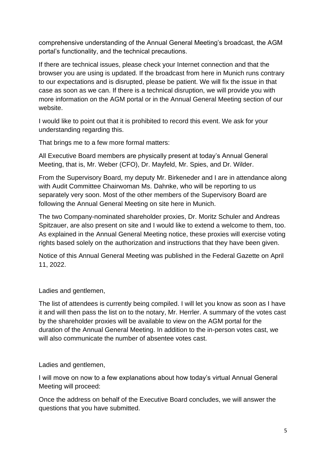comprehensive understanding of the Annual General Meeting's broadcast, the AGM portal's functionality, and the technical precautions.

If there are technical issues, please check your Internet connection and that the browser you are using is updated. If the broadcast from here in Munich runs contrary to our expectations and is disrupted, please be patient. We will fix the issue in that case as soon as we can. If there is a technical disruption, we will provide you with more information on the AGM portal or in the Annual General Meeting section of our website.

I would like to point out that it is prohibited to record this event. We ask for your understanding regarding this.

That brings me to a few more formal matters:

All Executive Board members are physically present at today's Annual General Meeting, that is, Mr. Weber (CFO), Dr. Mayfeld, Mr. Spies, and Dr. Wilder.

From the Supervisory Board, my deputy Mr. Birkeneder and I are in attendance along with Audit Committee Chairwoman Ms. Dahnke, who will be reporting to us separately very soon. Most of the other members of the Supervisory Board are following the Annual General Meeting on site here in Munich.

The two Company-nominated shareholder proxies, Dr. Moritz Schuler and Andreas Spitzauer, are also present on site and I would like to extend a welcome to them, too. As explained in the Annual General Meeting notice, these proxies will exercise voting rights based solely on the authorization and instructions that they have been given.

Notice of this Annual General Meeting was published in the Federal Gazette on April 11, 2022.

Ladies and gentlemen,

The list of attendees is currently being compiled. I will let you know as soon as I have it and will then pass the list on to the notary, Mr. Herrler. A summary of the votes cast by the shareholder proxies will be available to view on the AGM portal for the duration of the Annual General Meeting. In addition to the in-person votes cast, we will also communicate the number of absentee votes cast.

Ladies and gentlemen,

I will move on now to a few explanations about how today's virtual Annual General Meeting will proceed:

Once the address on behalf of the Executive Board concludes, we will answer the questions that you have submitted.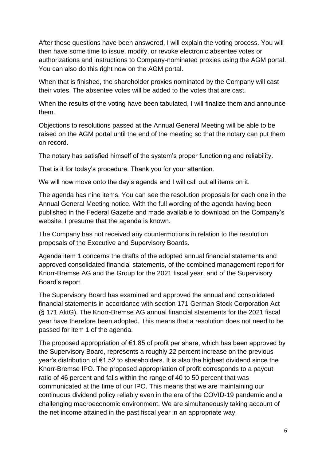After these questions have been answered, I will explain the voting process. You will then have some time to issue, modify, or revoke electronic absentee votes or authorizations and instructions to Company-nominated proxies using the AGM portal. You can also do this right now on the AGM portal.

When that is finished, the shareholder proxies nominated by the Company will cast their votes. The absentee votes will be added to the votes that are cast.

When the results of the voting have been tabulated, I will finalize them and announce them.

Objections to resolutions passed at the Annual General Meeting will be able to be raised on the AGM portal until the end of the meeting so that the notary can put them on record.

The notary has satisfied himself of the system's proper functioning and reliability.

That is it for today's procedure. Thank you for your attention.

We will now move onto the day's agenda and I will call out all items on it.

The agenda has nine items. You can see the resolution proposals for each one in the Annual General Meeting notice. With the full wording of the agenda having been published in the Federal Gazette and made available to download on the Company's website, I presume that the agenda is known.

The Company has not received any countermotions in relation to the resolution proposals of the Executive and Supervisory Boards.

Agenda item 1 concerns the drafts of the adopted annual financial statements and approved consolidated financial statements, of the combined management report for Knorr-Bremse AG and the Group for the 2021 fiscal year, and of the Supervisory Board's report.

The Supervisory Board has examined and approved the annual and consolidated financial statements in accordance with section 171 German Stock Corporation Act (§ 171 AktG). The Knorr-Bremse AG annual financial statements for the 2021 fiscal year have therefore been adopted. This means that a resolution does not need to be passed for item 1 of the agenda.

The proposed appropriation of  $\epsilon$ 1.85 of profit per share, which has been approved by the Supervisory Board, represents a roughly 22 percent increase on the previous year's distribution of €1.52 to shareholders. It is also the highest dividend since the Knorr-Bremse IPO. The proposed appropriation of profit corresponds to a payout ratio of 46 percent and falls within the range of 40 to 50 percent that was communicated at the time of our IPO. This means that we are maintaining our continuous dividend policy reliably even in the era of the COVID-19 pandemic and a challenging macroeconomic environment. We are simultaneously taking account of the net income attained in the past fiscal year in an appropriate way.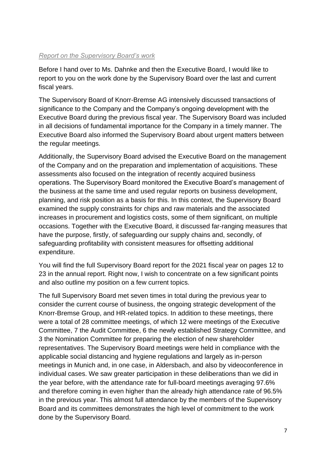## *Report on the Supervisory Board's work*

Before I hand over to Ms. Dahnke and then the Executive Board, I would like to report to you on the work done by the Supervisory Board over the last and current fiscal years.

The Supervisory Board of Knorr-Bremse AG intensively discussed transactions of significance to the Company and the Company's ongoing development with the Executive Board during the previous fiscal year. The Supervisory Board was included in all decisions of fundamental importance for the Company in a timely manner. The Executive Board also informed the Supervisory Board about urgent matters between the regular meetings.

Additionally, the Supervisory Board advised the Executive Board on the management of the Company and on the preparation and implementation of acquisitions. These assessments also focused on the integration of recently acquired business operations. The Supervisory Board monitored the Executive Board's management of the business at the same time and used regular reports on business development, planning, and risk position as a basis for this. In this context, the Supervisory Board examined the supply constraints for chips and raw materials and the associated increases in procurement and logistics costs, some of them significant, on multiple occasions. Together with the Executive Board, it discussed far-ranging measures that have the purpose, firstly, of safeguarding our supply chains and, secondly, of safeguarding profitability with consistent measures for offsetting additional expenditure.

You will find the full Supervisory Board report for the 2021 fiscal year on pages 12 to 23 in the annual report. Right now, I wish to concentrate on a few significant points and also outline my position on a few current topics.

The full Supervisory Board met seven times in total during the previous year to consider the current course of business, the ongoing strategic development of the Knorr-Bremse Group, and HR-related topics. In addition to these meetings, there were a total of 28 committee meetings, of which 12 were meetings of the Executive Committee, 7 the Audit Committee, 6 the newly established Strategy Committee, and 3 the Nomination Committee for preparing the election of new shareholder representatives. The Supervisory Board meetings were held in compliance with the applicable social distancing and hygiene regulations and largely as in-person meetings in Munich and, in one case, in Aldersbach, and also by videoconference in individual cases. We saw greater participation in these deliberations than we did in the year before, with the attendance rate for full-board meetings averaging 97.6% and therefore coming in even higher than the already high attendance rate of 96.5% in the previous year. This almost full attendance by the members of the Supervisory Board and its committees demonstrates the high level of commitment to the work done by the Supervisory Board.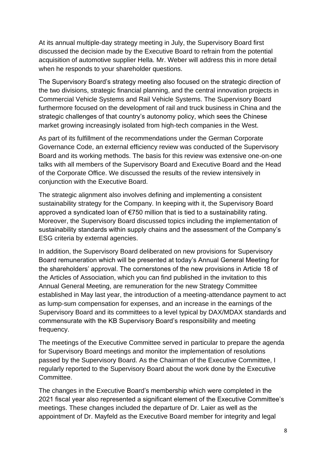At its annual multiple-day strategy meeting in July, the Supervisory Board first discussed the decision made by the Executive Board to refrain from the potential acquisition of automotive supplier Hella. Mr. Weber will address this in more detail when he responds to your shareholder questions.

The Supervisory Board's strategy meeting also focused on the strategic direction of the two divisions, strategic financial planning, and the central innovation projects in Commercial Vehicle Systems and Rail Vehicle Systems. The Supervisory Board furthermore focused on the development of rail and truck business in China and the strategic challenges of that country's autonomy policy, which sees the Chinese market growing increasingly isolated from high-tech companies in the West.

As part of its fulfillment of the recommendations under the German Corporate Governance Code, an external efficiency review was conducted of the Supervisory Board and its working methods. The basis for this review was extensive one-on-one talks with all members of the Supervisory Board and Executive Board and the Head of the Corporate Office. We discussed the results of the review intensively in conjunction with the Executive Board.

The strategic alignment also involves defining and implementing a consistent sustainability strategy for the Company. In keeping with it, the Supervisory Board approved a syndicated loan of €750 million that is tied to a sustainability rating. Moreover, the Supervisory Board discussed topics including the implementation of sustainability standards within supply chains and the assessment of the Company's ESG criteria by external agencies.

In addition, the Supervisory Board deliberated on new provisions for Supervisory Board remuneration which will be presented at today's Annual General Meeting for the shareholders' approval. The cornerstones of the new provisions in Article 18 of the Articles of Association, which you can find published in the invitation to this Annual General Meeting, are remuneration for the new Strategy Committee established in May last year, the introduction of a meeting-attendance payment to act as lump-sum compensation for expenses, and an increase in the earnings of the Supervisory Board and its committees to a level typical by DAX/MDAX standards and commensurate with the KB Supervisory Board's responsibility and meeting frequency.

The meetings of the Executive Committee served in particular to prepare the agenda for Supervisory Board meetings and monitor the implementation of resolutions passed by the Supervisory Board. As the Chairman of the Executive Committee, I regularly reported to the Supervisory Board about the work done by the Executive Committee.

The changes in the Executive Board's membership which were completed in the 2021 fiscal year also represented a significant element of the Executive Committee's meetings. These changes included the departure of Dr. Laier as well as the appointment of Dr. Mayfeld as the Executive Board member for integrity and legal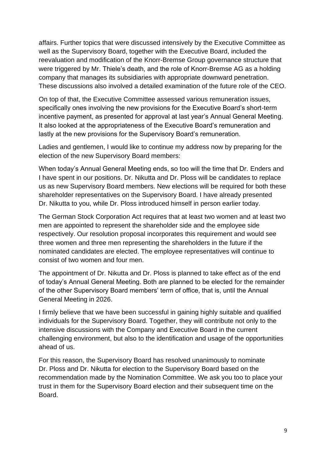affairs. Further topics that were discussed intensively by the Executive Committee as well as the Supervisory Board, together with the Executive Board, included the reevaluation and modification of the Knorr-Bremse Group governance structure that were triggered by Mr. Thiele's death, and the role of Knorr-Bremse AG as a holding company that manages its subsidiaries with appropriate downward penetration. These discussions also involved a detailed examination of the future role of the CEO.

On top of that, the Executive Committee assessed various remuneration issues, specifically ones involving the new provisions for the Executive Board's short-term incentive payment, as presented for approval at last year's Annual General Meeting. It also looked at the appropriateness of the Executive Board's remuneration and lastly at the new provisions for the Supervisory Board's remuneration.

Ladies and gentlemen, I would like to continue my address now by preparing for the election of the new Supervisory Board members:

When today's Annual General Meeting ends, so too will the time that Dr. Enders and I have spent in our positions. Dr. Nikutta and Dr. Ploss will be candidates to replace us as new Supervisory Board members. New elections will be required for both these shareholder representatives on the Supervisory Board. I have already presented Dr. Nikutta to you, while Dr. Ploss introduced himself in person earlier today.

The German Stock Corporation Act requires that at least two women and at least two men are appointed to represent the shareholder side and the employee side respectively. Our resolution proposal incorporates this requirement and would see three women and three men representing the shareholders in the future if the nominated candidates are elected. The employee representatives will continue to consist of two women and four men.

The appointment of Dr. Nikutta and Dr. Ploss is planned to take effect as of the end of today's Annual General Meeting. Both are planned to be elected for the remainder of the other Supervisory Board members' term of office, that is, until the Annual General Meeting in 2026.

I firmly believe that we have been successful in gaining highly suitable and qualified individuals for the Supervisory Board. Together, they will contribute not only to the intensive discussions with the Company and Executive Board in the current challenging environment, but also to the identification and usage of the opportunities ahead of us.

For this reason, the Supervisory Board has resolved unanimously to nominate Dr. Ploss and Dr. Nikutta for election to the Supervisory Board based on the recommendation made by the Nomination Committee. We ask you too to place your trust in them for the Supervisory Board election and their subsequent time on the Board.